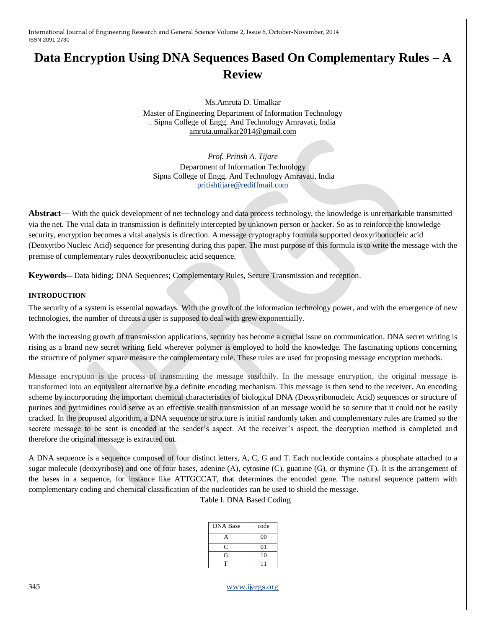# **Data Encryption Using DNA Sequences Based On Complementary Rules – A Review**

Ms.Amruta D. Umalkar Master of Engineering Department of Information Technology . Sipna College of Engg. And Technology Amravati, India [amruta.umalkar2014@gmail.com](mailto:amruta.umalkar2014@gmail.com)

*Prof. Pritish A. Tijare* Department of Information Technology Sipna College of Engg. And Technology Amravati, India [pritishtijare@rediffmail.com](mailto:pritishtijare@rediffmail.com)

**Abstract**— With the quick development of net technology and data process technology, the knowledge is unremarkable transmitted via the net. The vital data in transmission is definitely intercepted by unknown person or hacker. So as to reinforce the knowledge security, encryption becomes a vital analysis is direction. A message cryptography formula supported deoxyribonucleic acid (Deoxyribo Nucleic Acid) sequence for presenting during this paper. The most purpose of this formula is to write the message with the premise of complementary rules deoxyribonucleic acid sequence.

**Keywords**— Data hiding; DNA Sequences; Complementary Rules, Secure Transmission and reception.

#### **INTRODUCTION**

The security of a system is essential nowadays. With the growth of the information technology power, and with the emergence of new technologies, the number of threats a user is supposed to deal with grew exponentially.

With the increasing growth of transmission applications, security has become a crucial issue on communication. DNA secret writing is rising as a brand new secret writing field wherever polymer is employed to hold the knowledge. The fascinating options concerning the structure of polymer square measure the complementary rule. These rules are used for proposing message encryption methods.

Message encryption is the process of transmitting the message stealthily. In the message encryption, the original message is transformed into an equivalent alternative by a definite encoding mechanism. This message is then send to the receiver. An encoding scheme by incorporating the important chemical characteristics of biological DNA (Deoxyribonucleic Acid) sequences or structure of purines and pyrimidines could serve as an effective stealth transmission of an message would be so secure that it could not be easily cracked. In the proposed algorithm, a DNA sequence or structure is initial randomly taken and complementary rules are framed so the secrete message to be sent is encoded at the sender's aspect. At the receiver's aspect, the decryption method is completed and therefore the original message is extracted out.

A DNA sequence is a sequence composed of four distinct letters, A, C, G and T. Each nucleotide contains a phosphate attached to a sugar molecule (deoxyribose) and one of four bases, adenine (A), cytosine (C), guanine (G), or thymine (T). It is the arrangement of the bases in a sequence, for instance like ATTGCCAT, that determines the encoded gene. The natural sequence pattern with complementary coding and chemical classification of the nucleotides can be used to shield the message.

Table I. DNA Based Coding

| <b>DNA</b> Base | code           |
|-----------------|----------------|
| А               | 00             |
| C.              | 0 <sub>1</sub> |
| G               | 10             |
|                 |                |

345 [www.ijergs.org](http://www.ijergs.org/)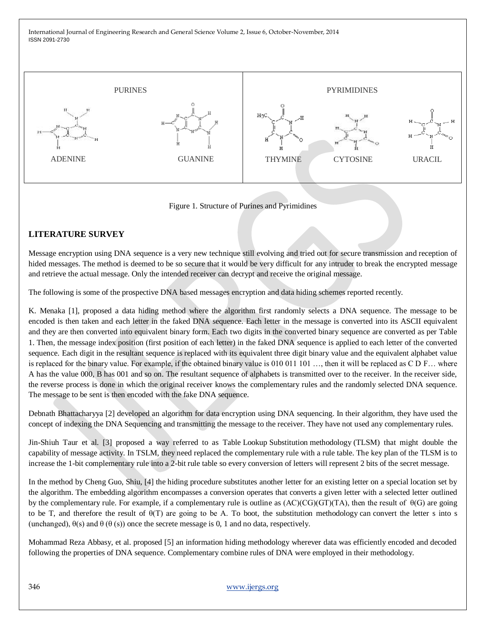

Figure 1. Structure of Purines and Pyrimidines

#### **LITERATURE SURVEY**

Message encryption using DNA sequence is a very new technique still evolving and tried out for secure transmission and reception of hided messages. The method is deemed to be so secure that it would be very difficult for any intruder to break the encrypted message and retrieve the actual message. Only the intended receiver can decrypt and receive the original message.

The following is some of the prospective DNA based messages encryption and data hiding schemes reported recently.

K. Menaka [1], proposed a data hiding method where the algorithm first randomly selects a DNA sequence. The message to be encoded is then taken and each letter in the faked DNA sequence. Each letter in the message is converted into its ASCII equivalent and they are then converted into equivalent binary form. Each two digits in the converted binary sequence are converted as per Table 1. Then, the message index position (first position of each letter) in the faked DNA sequence is applied to each letter of the converted sequence. Each digit in the resultant sequence is replaced with its equivalent three digit binary value and the equivalent alphabet value is replaced for the binary value. For example, if the obtained binary value is 010 011 101 …, then it will be replaced as C D F… where A has the value 000, B has 001 and so on. The resultant sequence of alphabets is transmitted over to the receiver. In the receiver side, the reverse process is done in which the original receiver knows the complementary rules and the randomly selected DNA sequence. The message to be sent is then encoded with the fake DNA sequence.

Debnath Bhattacharyya [2] developed an algorithm for data encryption using DNA sequencing. In their algorithm, they have used the concept of indexing the DNA Sequencing and transmitting the message to the receiver. They have not used any complementary rules.

Jin-Shiuh Taur et al. [3] proposed a way referred to as Table Lookup Substitution methodology (TLSM) that might double the capability of message activity. In TSLM, they need replaced the complementary rule with a rule table. The key plan of the TLSM is to increase the 1-bit complementary rule into a 2-bit rule table so every conversion of letters will represent 2 bits of the secret message.

In the method by Cheng Guo, Shiu, [4] the hiding procedure substitutes another letter for an existing letter on a special location set by the algorithm. The embedding algorithm encompasses a conversion operates that converts a given letter with a selected letter outlined by the complementary rule. For example, if a complementary rule is outline as  $(AC)(CG)(GT)(TA)$ , then the result of  $\theta(G)$  are going to be T, and therefore the result of  $\theta(T)$  are going to be A. To boot, the substitution methodology can convert the letter s into s (unchanged),  $\theta(s)$  and  $\theta(\theta(s))$  once the secrete message is 0, 1 and no data, respectively.

Mohammad Reza Abbasy, et al. proposed [5] an information hiding methodology wherever data was efficiently encoded and decoded following the properties of DNA sequence. Complementary combine rules of DNA were employed in their methodology.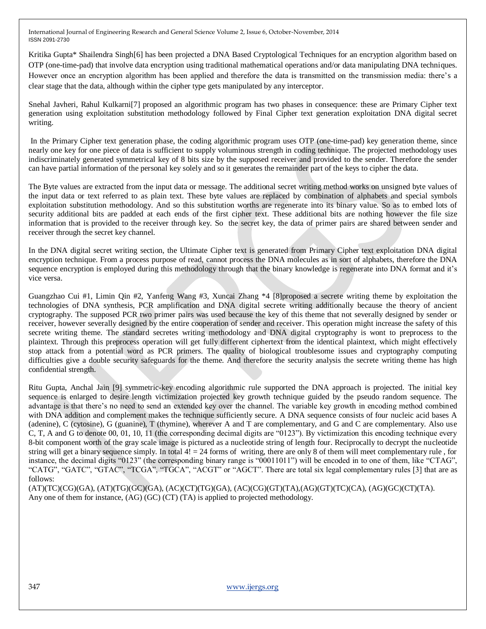Kritika Gupta\* Shailendra Singh[6] has been projected a DNA Based Cryptological Techniques for an encryption algorithm based on OTP (one-time-pad) that involve data encryption using traditional mathematical operations and/or data manipulating DNA techniques. However once an encryption algorithm has been applied and therefore the data is transmitted on the transmission media: there's a clear stage that the data, although within the cipher type gets manipulated by any interceptor.

Snehal Javheri, Rahul Kulkarni[7] proposed an algorithmic program has two phases in consequence: these are Primary Cipher text generation using exploitation substitution methodology followed by Final Cipher text generation exploitation DNA digital secret writing.

In the Primary Cipher text generation phase, the coding algorithmic program uses OTP (one-time-pad) key generation theme, since nearly one key for one piece of data is sufficient to supply voluminous strength in coding technique. The projected methodology uses indiscriminately generated symmetrical key of 8 bits size by the supposed receiver and provided to the sender. Therefore the sender can have partial information of the personal key solely and so it generates the remainder part of the keys to cipher the data.

The Byte values are extracted from the input data or message. The additional secret writing method works on unsigned byte values of the input data or text referred to as plain text. These byte values are replaced by combination of alphabets and special symbols exploitation substitution methodology. And so this substitution worths are regenerate into its binary value. So as to embed lots of security additional bits are padded at each ends of the first cipher text. These additional bits are nothing however the file size information that is provided to the receiver through key. So the secret key, the data of primer pairs are shared between sender and receiver through the secret key channel.

In the DNA digital secret writing section, the Ultimate Cipher text is generated from Primary Cipher text exploitation DNA digital encryption technique. From a process purpose of read, cannot process the DNA molecules as in sort of alphabets, therefore the DNA sequence encryption is employed during this methodology through that the binary knowledge is regenerate into DNA format and it's vice versa.

Guangzhao Cui #1, Limin Qin #2, Yanfeng Wang #3, Xuncai Zhang \*4 [8]proposed a secrete writing theme by exploitation the technologies of DNA synthesis, PCR amplification and DNA digital secrete writing additionally because the theory of ancient cryptography. The supposed PCR two primer pairs was used because the key of this theme that not severally designed by sender or receiver, however severally designed by the entire cooperation of sender and receiver. This operation might increase the safety of this secrete writing theme. The standard secretes writing methodology and DNA digital cryptography is wont to preprocess to the plaintext. Through this preprocess operation will get fully different ciphertext from the identical plaintext, which might effectively stop attack from a potential word as PCR primers. The quality of biological troublesome issues and cryptography computing difficulties give a double security safeguards for the theme. And therefore the security analysis the secrete writing theme has high confidential strength.

Ritu Gupta, Anchal Jain [9] symmetric-key encoding algorithmic rule supported the DNA approach is projected. The initial key sequence is enlarged to desire length victimization projected key growth technique guided by the pseudo random sequence. The advantage is that there's no need to send an extended key over the channel. The variable key growth in encoding method combined with DNA addition and complement makes the technique sufficiently secure. A DNA sequence consists of four nucleic acid bases A (adenine), C (cytosine), G (guanine), T (thymine), wherever A and T are complementary, and G and C are complementary. Also use C, T, A and G to denote 00, 01, 10, 11 (the corresponding decimal digits are  $"0123"$ ). By victimization this encoding technique every 8-bit component worth of the gray scale image is pictured as a nucleotide string of length four. Reciprocally to decrypt the nucleotide string will get a binary sequence simply. In total  $4! = 24$  forms of writing, there are only 8 of them will meet complementary rule, for instance, the decimal digits "0123" (the corresponding binary range is "00011011") will be encoded in to one of them, like "CTAG", "CATG", "GATC", "GTAC", "TCGA", "TGCA", "ACGT" or "AGCT". There are total six legal complementary rules [3] that are as follows:

(AT)(TC)(CG)(GA), (AT)(TG)(GC)(GA), (AC)(CT)(TG)(GA), (AC)(CG)(GT)(TA),(AG)(GT)(TC)(CA), (AG)(GC)(CT)(TA). Any one of them for instance, (AG) (GC) (CT) (TA) is applied to projected methodology.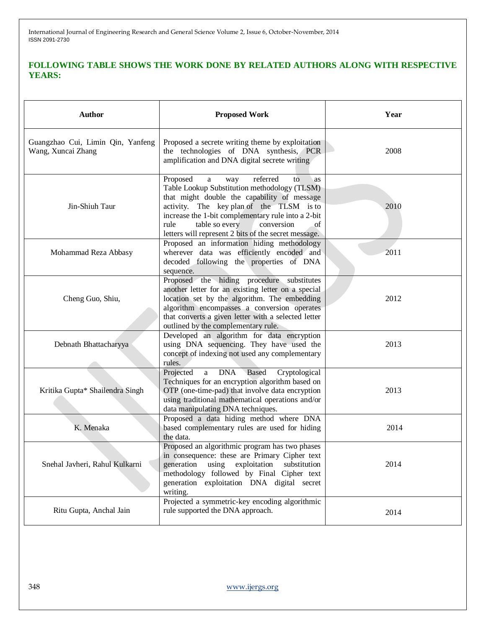## **FOLLOWING TABLE SHOWS THE WORK DONE BY RELATED AUTHORS ALONG WITH RESPECTIVE YEARS:**

| <b>Author</b>                                           | <b>Proposed Work</b>                                                                                                                                                                                                                                                                                                                                       | Year |
|---------------------------------------------------------|------------------------------------------------------------------------------------------------------------------------------------------------------------------------------------------------------------------------------------------------------------------------------------------------------------------------------------------------------------|------|
| Guangzhao Cui, Limin Qin, Yanfeng<br>Wang, Xuncai Zhang | Proposed a secrete writing theme by exploitation<br>the technologies of DNA synthesis, PCR<br>amplification and DNA digital secrete writing                                                                                                                                                                                                                | 2008 |
| Jin-Shiuh Taur                                          | Proposed<br>referred<br>a<br>way<br>to<br><b>as</b><br>Table Lookup Substitution methodology (TLSM)<br>that might double the capability of message<br>activity. The key plan of the TLSM is to<br>increase the 1-bit complementary rule into a 2-bit<br>table so every<br>conversion<br>rule<br>οf<br>letters will represent 2 bits of the secret message. | 2010 |
| Mohammad Reza Abbasy                                    | Proposed an information hiding methodology<br>wherever data was efficiently encoded and<br>decoded following the properties of DNA<br>sequence.                                                                                                                                                                                                            | 2011 |
| Cheng Guo, Shiu,                                        | Proposed the hiding procedure substitutes<br>another letter for an existing letter on a special<br>location set by the algorithm. The embedding<br>algorithm encompasses a conversion operates<br>that converts a given letter with a selected letter<br>outlined by the complementary rule.                                                               | 2012 |
| Debnath Bhattacharyya                                   | Developed an algorithm for data encryption<br>using DNA sequencing. They have used the<br>concept of indexing not used any complementary<br>rules.                                                                                                                                                                                                         | 2013 |
| Kritika Gupta* Shailendra Singh                         | Projected<br>a DNA Based Cryptological<br>Techniques for an encryption algorithm based on<br>OTP (one-time-pad) that involve data encryption<br>using traditional mathematical operations and/or<br>data manipulating DNA techniques.                                                                                                                      | 2013 |
| K. Menaka                                               | Proposed a data hiding method where DNA<br>based complementary rules are used for hiding<br>the data.                                                                                                                                                                                                                                                      | 2014 |
| Snehal Javheri, Rahul Kulkarni                          | Proposed an algorithmic program has two phases<br>in consequence: these are Primary Cipher text<br>generation using exploitation substitution<br>methodology followed by Final Cipher text<br>generation exploitation DNA digital secret<br>writing.                                                                                                       | 2014 |
| Ritu Gupta, Anchal Jain                                 | Projected a symmetric-key encoding algorithmic<br>rule supported the DNA approach.                                                                                                                                                                                                                                                                         | 2014 |